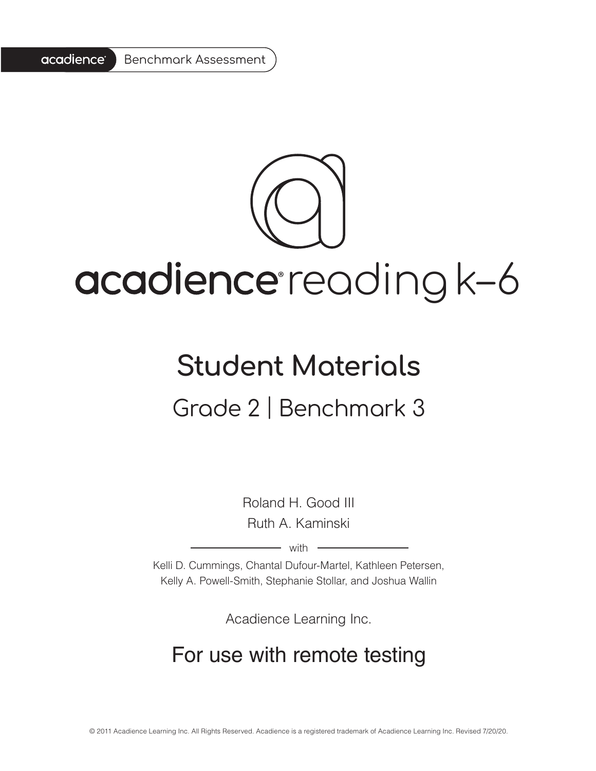

# acadience reading k-6

# **Student Materials** Grade 2 | Benchmark 3

Roland H. Good III Ruth A. Kaminski

 $-$  with  $-$ 

Kelli D. Cummings, Chantal Dufour-Martel, Kathleen Petersen, Kelly A. Powell-Smith, Stephanie Stollar, and Joshua Wallin

Acadience Learning Inc.

## For use with remote testing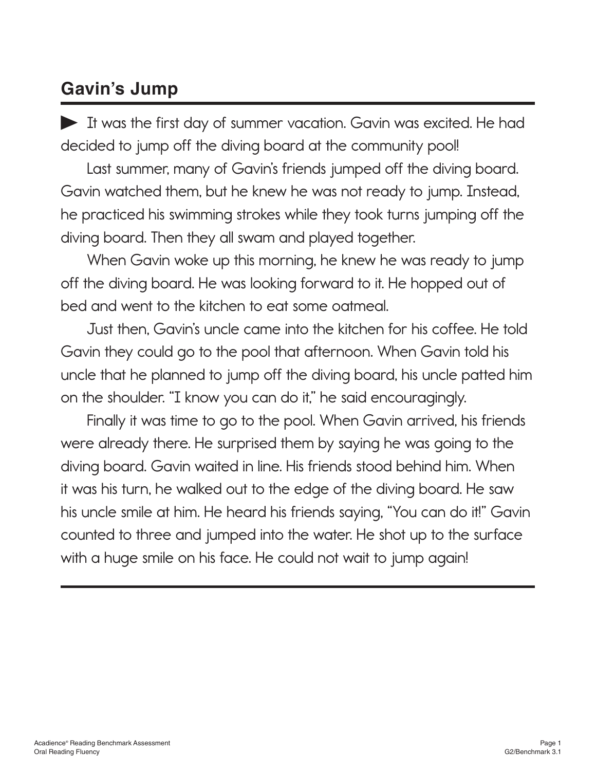### **Gavin's Jump**

It was the first day of summer vacation. Gavin was excited. He had decided to jump off the diving board at the community pool!

Last summer, many of Gavin's friends jumped off the diving board. Gavin watched them, but he knew he was not ready to jump. Instead, he practiced his swimming strokes while they took turns jumping off the diving board. Then they all swam and played together.

When Gavin woke up this morning, he knew he was ready to jump off the diving board. He was looking forward to it. He hopped out of bed and went to the kitchen to eat some oatmeal.

Just then, Gavin's uncle came into the kitchen for his coffee. He told Gavin they could go to the pool that afternoon. When Gavin told his uncle that he planned to jump off the diving board, his uncle patted him on the shoulder. "I know you can do it," he said encouragingly.

Finally it was time to go to the pool. When Gavin arrived, his friends were already there. He surprised them by saying he was going to the diving board. Gavin waited in line. His friends stood behind him. When it was his turn, he walked out to the edge of the diving board. He saw his uncle smile at him. He heard his friends saying, "You can do it!" Gavin counted to three and jumped into the water. He shot up to the surface with a huge smile on his face. He could not wait to jump again!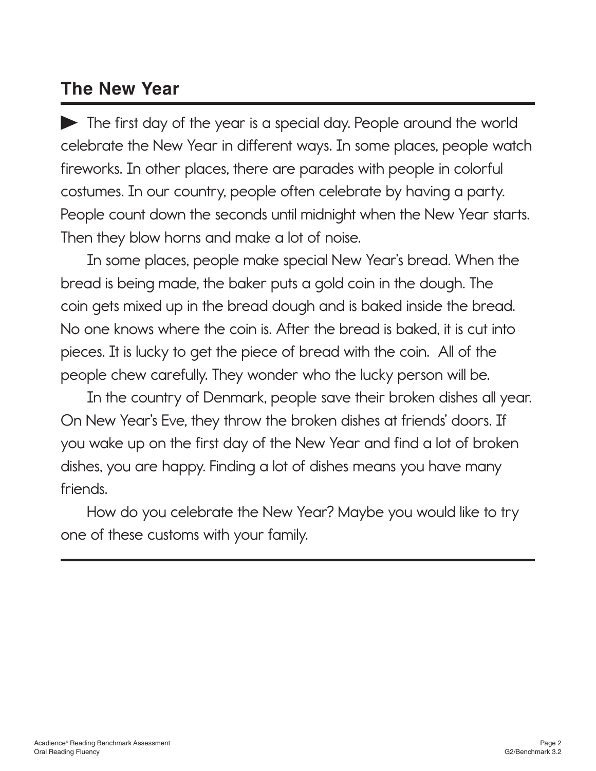### **The New Year**

The first day of the year is a special day. People around the world celebrate the New Year in different ways. In some places, people watch fireworks. In other places, there are parades with people in colorful costumes. In our country, people often celebrate by having a party. People count down the seconds until midnight when the New Year starts. Then they blow horns and make a lot of noise.

In some places, people make special New Year's bread. When the bread is being made, the baker puts a gold coin in the dough. The coin gets mixed up in the bread dough and is baked inside the bread. No one knows where the coin is. After the bread is baked, it is cut into pieces. It is lucky to get the piece of bread with the coin. All of the people chew carefully. They wonder who the lucky person will be.

In the country of Denmark, people save their broken dishes all year. On New Year's Eve, they throw the broken dishes at friends' doors. If you wake up on the first day of the New Year and find a lot of broken dishes, you are happy. Finding a lot of dishes means you have many friends.

How do you celebrate the New Year? Maybe you would like to try one of these customs with your family.